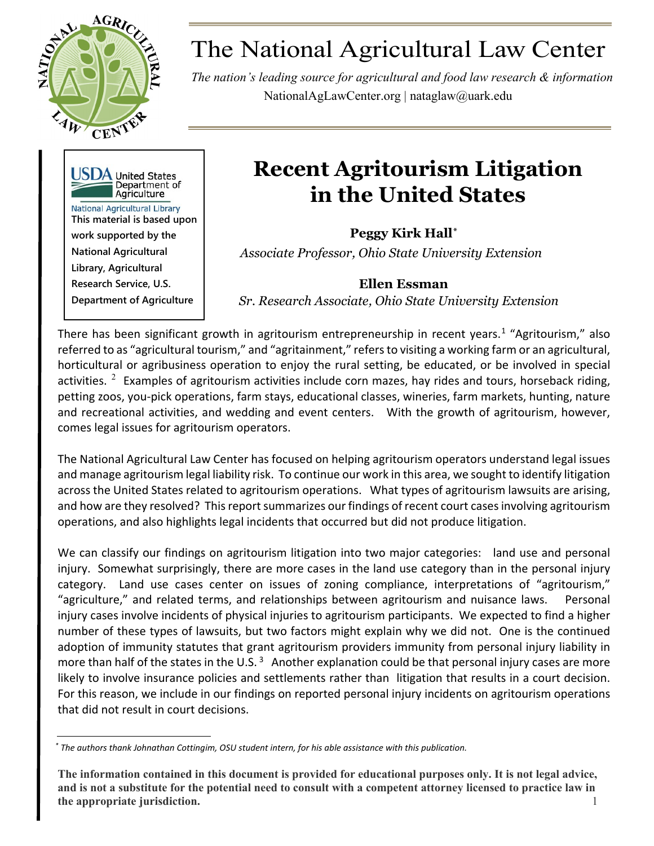

# The National Agricultural Law Center

*The nation's leading source for agricultural and food law research & information* NationalAgLawCenter.org | [nataglaw@uark.edu](mailto:nataglaw@uark.edu)



# **Recent Agritourism Litigation in the United States**

**Peggy Kirk Hall[\\*](#page-0-0)** *Associate Professor, Ohio State University Extension*

## **Ellen Essman**

*Sr. Research Associate, Ohio State University Extension* 

There has been significant growth in agritourism entrepreneurship in recent years.<sup>[1](#page-8-0)</sup> "Agritourism," also referred to as "agricultural tourism," and "agritainment," refers to visiting a working farm or an agricultural, horticultural or agribusiness operation to enjoy the rural setting, be educated, or be involved in special activities.  $2$  Examples of agritourism activities include corn mazes, hay rides and tours, horseback riding, petting zoos, you-pick operations, farm stays, educational classes, wineries, farm markets, hunting, nature and recreational activities, and wedding and event centers. With the growth of agritourism, however, comes legal issues for agritourism operators.

The National Agricultural Law Center has focused on helping agritourism operators understand legal issues and manage agritourism legal liability risk. To continue our work in this area, we sought to identify litigation across the United States related to agritourism operations. What types of agritourism lawsuits are arising, and how are they resolved? This report summarizes our findings of recent court cases involving agritourism operations, and also highlights legal incidents that occurred but did not produce litigation.

We can classify our findings on agritourism litigation into two major categories: land use and personal injury. Somewhat surprisingly, there are more cases in the land use category than in the personal injury category. Land use cases center on issues of zoning compliance, interpretations of "agritourism," "agriculture," and related terms, and relationships between agritourism and nuisance laws. Personal injury cases involve incidents of physical injuries to agritourism participants. We expected to find a higher number of these types of lawsuits, but two factors might explain why we did not. One is the continued adoption of immunity statutes that grant agritourism providers immunity from personal injury liability in more than half of the states in the U.S.  $3$  Another explanation could be that personal injury cases are more likely to involve insurance policies and settlements rather than litigation that results in a court decision. For this reason, we include in our findings on reported personal injury incidents on agritourism operations that did not result in court decisions.

<span id="page-0-0"></span>*\* The authors thank Johnathan Cottingim, OSU student intern, for his able assistance with this publication.*

**The information contained in this document is provided for educational purposes only. It is not legal advice, and is not a substitute for the potential need to consult with a competent attorney licensed to practice law in the appropriate jurisdiction.** 1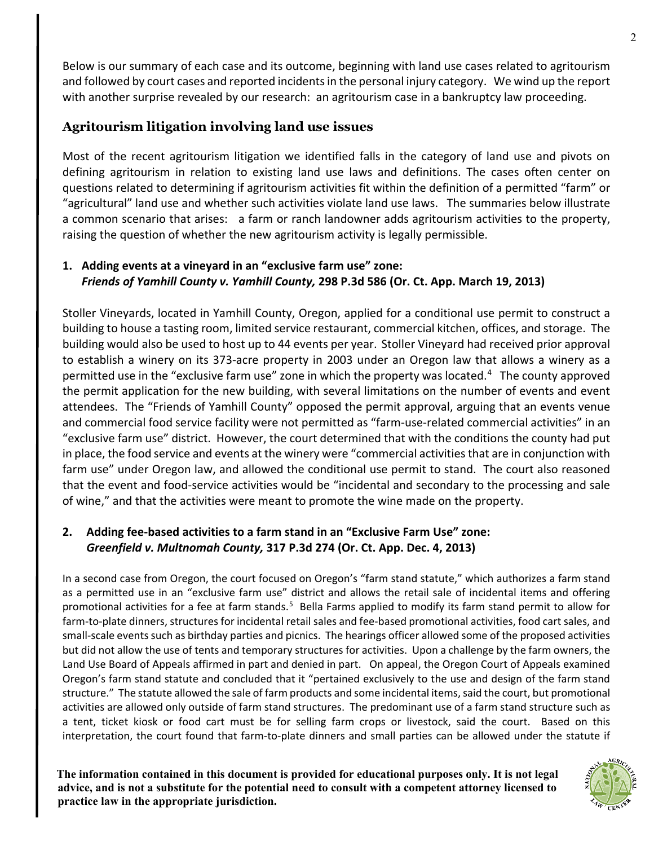Below is our summary of each case and its outcome, beginning with land use cases related to agritourism and followed by court cases and reported incidents in the personal injury category. We wind up the report with another surprise revealed by our research: an agritourism case in a bankruptcy law proceeding.

## **Agritourism litigation involving land use issues**

Most of the recent agritourism litigation we identified falls in the category of land use and pivots on defining agritourism in relation to existing land use laws and definitions. The cases often center on questions related to determining if agritourism activities fit within the definition of a permitted "farm" or "agricultural" land use and whether such activities violate land use laws. The summaries below illustrate a common scenario that arises: a farm or ranch landowner adds agritourism activities to the property, raising the question of whether the new agritourism activity is legally permissible.

#### **1. Adding events at a vineyard in an "exclusive farm use" zone:** *Friends of Yamhill County v. Yamhill County,* **298 P.3d 586 (Or. Ct. App. March 19, 2013)**

Stoller Vineyards, located in Yamhill County, Oregon, applied for a conditional use permit to construct a building to house a tasting room, limited service restaurant, commercial kitchen, offices, and storage. The building would also be used to host up to 44 events per year. Stoller Vineyard had received prior approval to establish a winery on its 373-acre property in 2003 under an Oregon law that allows a winery as a permitted use in the "exclusive farm use" zone in which the property was located.<sup>[4](#page-8-3)</sup> The county approved the permit application for the new building, with several limitations on the number of events and event attendees. The "Friends of Yamhill County" opposed the permit approval, arguing that an events venue and commercial food service facility were not permitted as "farm-use-related commercial activities" in an "exclusive farm use" district. However, the court determined that with the conditions the county had put in place, the food service and events at the winery were "commercial activities that are in conjunction with farm use" under Oregon law, and allowed the conditional use permit to stand. The court also reasoned that the event and food-service activities would be "incidental and secondary to the processing and sale of wine," and that the activities were meant to promote the wine made on the property.

#### **2. Adding fee-based activities to a farm stand in an "Exclusive Farm Use" zone:**  *Greenfield v. Multnomah County,* **317 P.3d 274 (Or. Ct. App. Dec. 4, 2013)**

In a second case from Oregon, the court focused on Oregon's "farm stand statute," which authorizes a farm stand as a permitted use in an "exclusive farm use" district and allows the retail sale of incidental items and offering promotional activities for a fee at farm stands.<sup>[5](#page-8-4)</sup> Bella Farms applied to modify its farm stand permit to allow for farm-to-plate dinners, structures for incidental retail sales and fee-based promotional activities, food cart sales, and small-scale events such as birthday parties and picnics. The hearings officer allowed some of the proposed activities but did not allow the use of tents and temporary structures for activities. Upon a challenge by the farm owners, the Land Use Board of Appeals affirmed in part and denied in part. On appeal, the Oregon Court of Appeals examined Oregon's farm stand statute and concluded that it "pertained exclusively to the use and design of the farm stand structure." The statute allowed the sale of farm products and some incidental items, said the court, but promotional activities are allowed only outside of farm stand structures. The predominant use of a farm stand structure such as a tent, ticket kiosk or food cart must be for selling farm crops or livestock, said the court. Based on this interpretation, the court found that farm-to-plate dinners and small parties can be allowed under the statute if

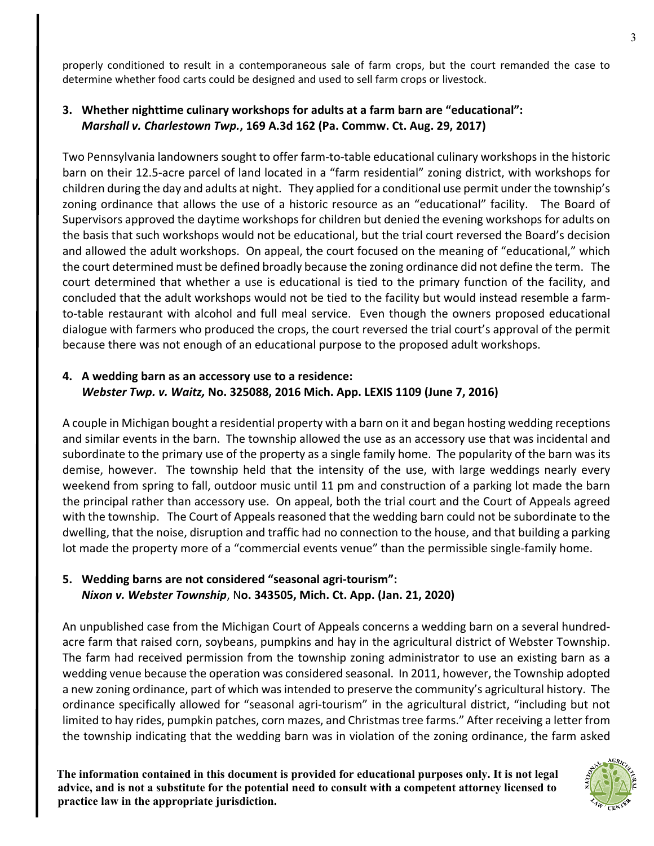properly conditioned to result in a contemporaneous sale of farm crops, but the court remanded the case to determine whether food carts could be designed and used to sell farm crops or livestock.

#### **3. Whether nighttime culinary workshops for adults at a farm barn are "educational":**  *Marshall v. Charlestown Twp.***, 169 A.3d 162 (Pa. Commw. Ct. Aug. 29, 2017)**

Two Pennsylvania landowners sought to offer farm-to-table educational culinary workshops in the historic barn on their 12.5-acre parcel of land located in a "farm residential" zoning district, with workshops for children during the day and adults at night. They applied for a conditional use permit under the township's zoning ordinance that allows the use of a historic resource as an "educational" facility. The Board of Supervisors approved the daytime workshops for children but denied the evening workshops for adults on the basis that such workshops would not be educational, but the trial court reversed the Board's decision and allowed the adult workshops. On appeal, the court focused on the meaning of "educational," which the court determined must be defined broadly because the zoning ordinance did not define the term. The court determined that whether a use is educational is tied to the primary function of the facility, and concluded that the adult workshops would not be tied to the facility but would instead resemble a farmto-table restaurant with alcohol and full meal service. Even though the owners proposed educational dialogue with farmers who produced the crops, the court reversed the trial court's approval of the permit because there was not enough of an educational purpose to the proposed adult workshops.

#### **4. A wedding barn as an accessory use to a residence:**  *Webster Twp. v. Waitz,* **No. 325088, 2016 Mich. App. LEXIS 1109 (June 7, 2016)**

A couple in Michigan bought a residential property with a barn on it and began hosting wedding receptions and similar events in the barn. The township allowed the use as an accessory use that was incidental and subordinate to the primary use of the property as a single family home. The popularity of the barn was its demise, however. The township held that the intensity of the use, with large weddings nearly every weekend from spring to fall, outdoor music until 11 pm and construction of a parking lot made the barn the principal rather than accessory use. On appeal, both the trial court and the Court of Appeals agreed with the township. The Court of Appeals reasoned that the wedding barn could not be subordinate to the dwelling, that the noise, disruption and traffic had no connection to the house, and that building a parking lot made the property more of a "commercial events venue" than the permissible single-family home.

#### **5. Wedding barns are not considered "seasonal agri-tourism":** *Nixon v. Webster Township*, N**o. 343505, Mich. Ct. App. (Jan. 21, 2020)**

An unpublished case from the Michigan Court of Appeals concerns a wedding barn on a several hundredacre farm that raised corn, soybeans, pumpkins and hay in the agricultural district of Webster Township. The farm had received permission from the township zoning administrator to use an existing barn as a wedding venue because the operation was considered seasonal. In 2011, however, the Township adopted a new zoning ordinance, part of which was intended to preserve the community's agricultural history. The ordinance specifically allowed for "seasonal agri-tourism" in the agricultural district, "including but not limited to hay rides, pumpkin patches, corn mazes, and Christmas tree farms." After receiving a letter from the township indicating that the wedding barn was in violation of the zoning ordinance, the farm asked

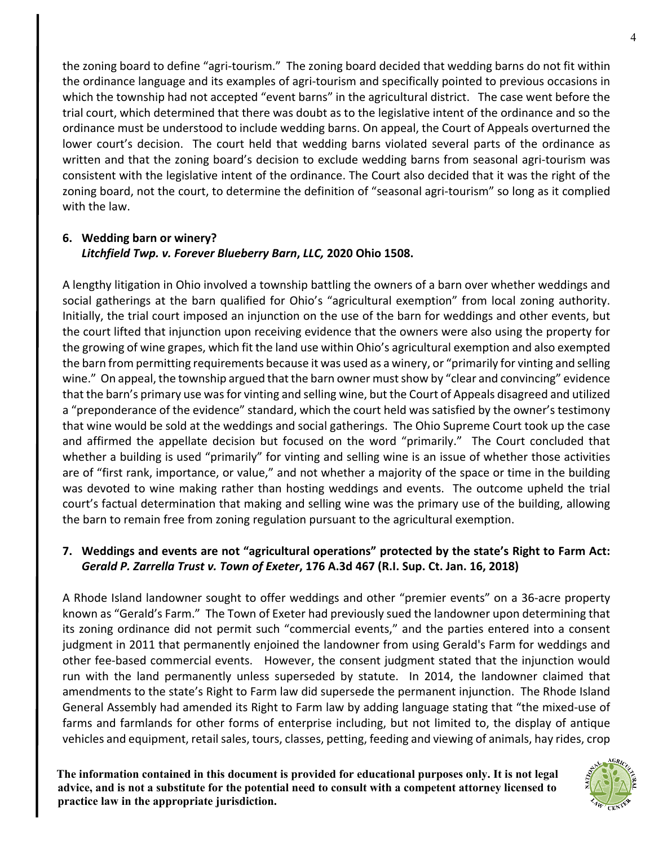the zoning board to define "agri-tourism." The zoning board decided that wedding barns do not fit within the ordinance language and its examples of agri-tourism and specifically pointed to previous occasions in which the township had not accepted "event barns" in the agricultural district. The case went before the trial court, which determined that there was doubt as to the legislative intent of the ordinance and so the ordinance must be understood to include wedding barns. On appeal, the Court of Appeals overturned the lower court's decision. The court held that wedding barns violated several parts of the ordinance as written and that the zoning board's decision to exclude wedding barns from seasonal agri-tourism was consistent with the legislative intent of the ordinance. The Court also decided that it was the right of the zoning board, not the court, to determine the definition of "seasonal agri-tourism" so long as it complied with the law.

#### **6. Wedding barn or winery?**  *Litchfield Twp. v. Forever Blueberry Barn***,** *LLC,* **2020 Ohio 1508.**

A lengthy litigation in Ohio involved a township battling the owners of a barn over whether weddings and social gatherings at the barn qualified for Ohio's "agricultural exemption" from local zoning authority. Initially, the trial court imposed an injunction on the use of the barn for weddings and other events, but the court lifted that injunction upon receiving evidence that the owners were also using the property for the growing of wine grapes, which fit the land use within Ohio's agricultural exemption and also exempted the barn from permitting requirements because it was used as a winery, or "primarily for vinting and selling wine." On appeal, the township argued that the barn owner must show by "clear and convincing" evidence that the barn's primary use was for vinting and selling wine, but the Court of Appeals disagreed and utilized a "preponderance of the evidence" standard, which the court held was satisfied by the owner's testimony that wine would be sold at the weddings and social gatherings. The Ohio Supreme Court took up the case and affirmed the appellate decision but focused on the word "primarily." The Court concluded that whether a building is used "primarily" for vinting and selling wine is an issue of whether those activities are of "first rank, importance, or value," and not whether a majority of the space or time in the building was devoted to wine making rather than hosting weddings and events. The outcome upheld the trial court's factual determination that making and selling wine was the primary use of the building, allowing the barn to remain free from zoning regulation pursuant to the agricultural exemption.

#### **7. Weddings and events are not "agricultural operations" protected by the state's Right to Farm Act:**  *Gerald P. Zarrella Trust v. Town of Exeter***, 176 A.3d 467 (R.I. Sup. Ct. Jan. 16, 2018)**

A Rhode Island landowner sought to offer weddings and other "premier events" on a 36-acre property known as "Gerald's Farm." The Town of Exeter had previously sued the landowner upon determining that its zoning ordinance did not permit such "commercial events," and the parties entered into a consent judgment in 2011 that permanently enjoined the landowner from using Gerald's Farm for weddings and other fee-based commercial events. However, the consent judgment stated that the injunction would run with the land permanently unless superseded by statute. In 2014, the landowner claimed that amendments to the state's Right to Farm law did supersede the permanent injunction. The Rhode Island General Assembly had amended its Right to Farm law by adding language stating that "the mixed-use of farms and farmlands for other forms of enterprise including, but not limited to, the display of antique vehicles and equipment, retail sales, tours, classes, petting, feeding and viewing of animals, hay rides, crop

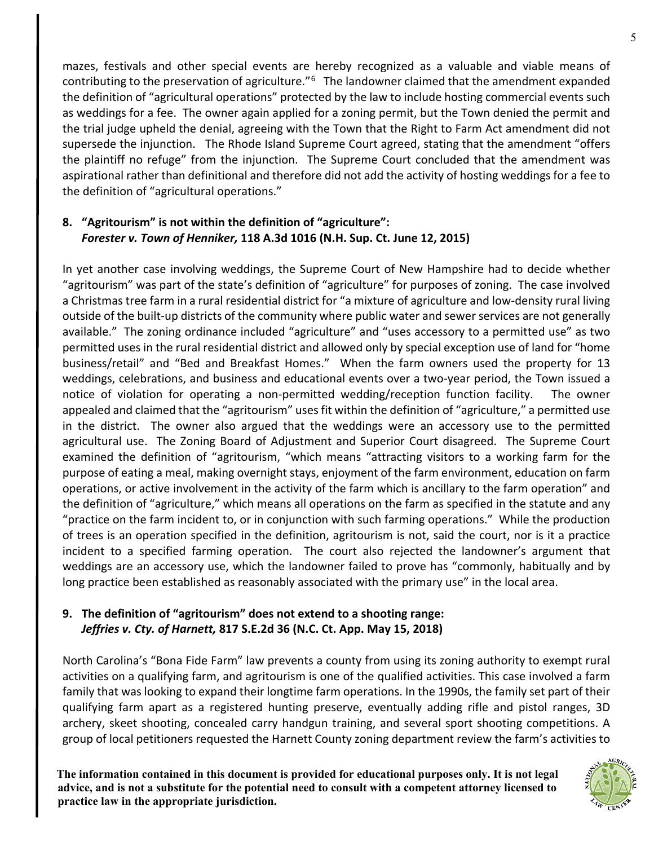mazes, festivals and other special events are hereby recognized as a valuable and viable means of contributing to the preservation of agriculture."[6](#page-8-5) The landowner claimed that the amendment expanded the definition of "agricultural operations" protected by the law to include hosting commercial events such as weddings for a fee. The owner again applied for a zoning permit, but the Town denied the permit and the trial judge upheld the denial, agreeing with the Town that the Right to Farm Act amendment did not supersede the injunction. The Rhode Island Supreme Court agreed, stating that the amendment "offers the plaintiff no refuge" from the injunction. The Supreme Court concluded that the amendment was aspirational rather than definitional and therefore did not add the activity of hosting weddings for a fee to the definition of "agricultural operations."

#### **8. "Agritourism" is not within the definition of "agriculture":**  *Forester v. Town of Henniker,* **118 A.3d 1016 (N.H. Sup. Ct. June 12, 2015)**

In yet another case involving weddings, the Supreme Court of New Hampshire had to decide whether "agritourism" was part of the state's definition of "agriculture" for purposes of zoning.The case involved a Christmas tree farm in a rural residential district for "a mixture of agriculture and low-density rural living outside of the built-up districts of the community where public water and sewer services are not generally available." The zoning ordinance included "agriculture" and "uses accessory to a permitted use" as two permitted uses in the rural residential district and allowed only by special exception use of land for "home business/retail" and "Bed and Breakfast Homes." When the farm owners used the property for 13 weddings, celebrations, and business and educational events over a two-year period, the Town issued a notice of violation for operating a non-permitted wedding/reception function facility. The owner appealed and claimed that the "agritourism" uses fit within the definition of "agriculture," a permitted use in the district. The owner also argued that the weddings were an accessory use to the permitted agricultural use. The Zoning Board of Adjustment and Superior Court disagreed. The Supreme Court examined the definition of "agritourism, "which means "attracting visitors to a working farm for the purpose of eating a meal, making overnight stays, enjoyment of the farm environment, education on farm operations, or active involvement in the activity of the farm which is ancillary to the farm operation" and the definition of "agriculture," which means all operations on the farm as specified in the statute and any "practice on the farm incident to, or in conjunction with such farming operations." While the production of trees is an operation specified in the definition, agritourism is not, said the court, nor is it a practice incident to a specified farming operation. The court also rejected the landowner's argument that weddings are an accessory use, which the landowner failed to prove has "commonly, habitually and by long practice been established as reasonably associated with the primary use" in the local area.

#### **9. The definition of "agritourism" does not extend to a shooting range:**  *Jeffries v. Cty. of Harnett,* **817 S.E.2d 36 (N.C. Ct. App. May 15, 2018)**

North Carolina's "Bona Fide Farm" law prevents a county from using its zoning authority to exempt rural activities on a qualifying farm, and agritourism is one of the qualified activities. This case involved a farm family that was looking to expand their longtime farm operations. In the 1990s, the family set part of their qualifying farm apart as a registered hunting preserve, eventually adding rifle and pistol ranges, 3D archery, skeet shooting, concealed carry handgun training, and several sport shooting competitions. A group of local petitioners requested the Harnett County zoning department review the farm's activities to

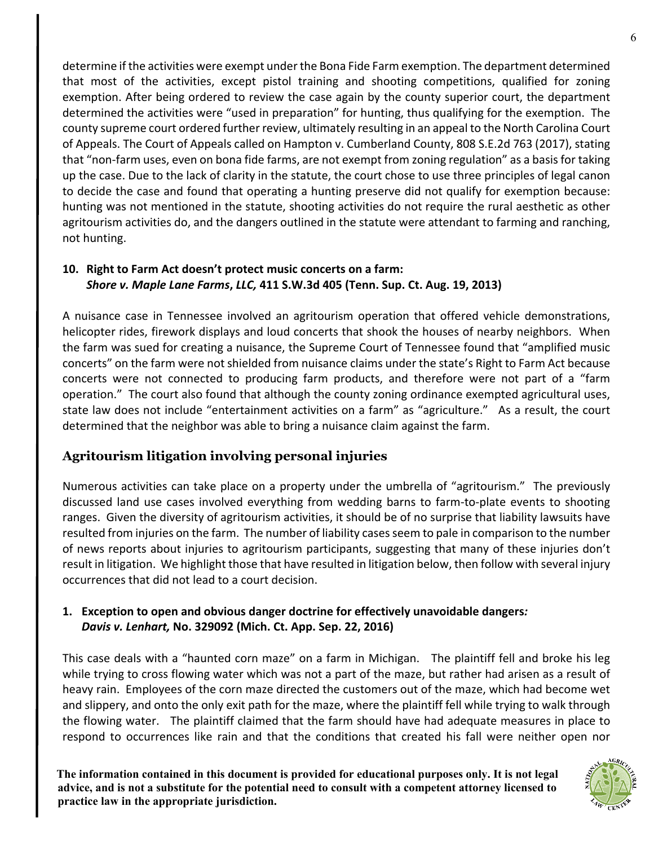determine if the activities were exempt under the Bona Fide Farm exemption. The department determined that most of the activities, except pistol training and shooting competitions, qualified for zoning exemption. After being ordered to review the case again by the county superior court, the department determined the activities were "used in preparation" for hunting, thus qualifying for the exemption. The county supreme court ordered further review, ultimately resulting in an appeal to the North Carolina Court of Appeals. The Court of Appeals called on Hampton v. Cumberland County, 808 S.E.2d 763 (2017), stating that "non-farm uses, even on bona fide farms, are not exempt from zoning regulation" as a basis for taking up the case. Due to the lack of clarity in the statute, the court chose to use three principles of legal canon to decide the case and found that operating a hunting preserve did not qualify for exemption because: hunting was not mentioned in the statute, shooting activities do not require the rural aesthetic as other agritourism activities do, and the dangers outlined in the statute were attendant to farming and ranching, not hunting.

#### **10. Right to Farm Act doesn't protect music concerts on a farm:** *Shore v. Maple Lane Farms***,** *LLC,* **411 S.W.3d 405 (Tenn. Sup. Ct. Aug. 19, 2013)**

A nuisance case in Tennessee involved an agritourism operation that offered vehicle demonstrations, helicopter rides, firework displays and loud concerts that shook the houses of nearby neighbors. When the farm was sued for creating a nuisance, the Supreme Court of Tennessee found that "amplified music concerts" on the farm were not shielded from nuisance claims under the state's Right to Farm Act because concerts were not connected to producing farm products, and therefore were not part of a "farm operation." The court also found that although the county zoning ordinance exempted agricultural uses, state law does not include "entertainment activities on a farm" as "agriculture." As a result, the court determined that the neighbor was able to bring a nuisance claim against the farm.

# **Agritourism litigation involving personal injuries**

Numerous activities can take place on a property under the umbrella of "agritourism." The previously discussed land use cases involved everything from wedding barns to farm-to-plate events to shooting ranges. Given the diversity of agritourism activities, it should be of no surprise that liability lawsuits have resulted from injuries on the farm. The number of liability cases seem to pale in comparison to the number of news reports about injuries to agritourism participants, suggesting that many of these injuries don't result in litigation. We highlight those that have resulted in litigation below, then follow with several injury occurrences that did not lead to a court decision.

#### **1. Exception to open and obvious danger doctrine for effectively unavoidable dangers***: Davis v. Lenhart,* **No. 329092 (Mich. Ct. App. Sep. 22, 2016)**

This case deals with a "haunted corn maze" on a farm in Michigan. The plaintiff fell and broke his leg while trying to cross flowing water which was not a part of the maze, but rather had arisen as a result of heavy rain. Employees of the corn maze directed the customers out of the maze, which had become wet and slippery, and onto the only exit path for the maze, where the plaintiff fell while trying to walk through the flowing water. The plaintiff claimed that the farm should have had adequate measures in place to respond to occurrences like rain and that the conditions that created his fall were neither open nor

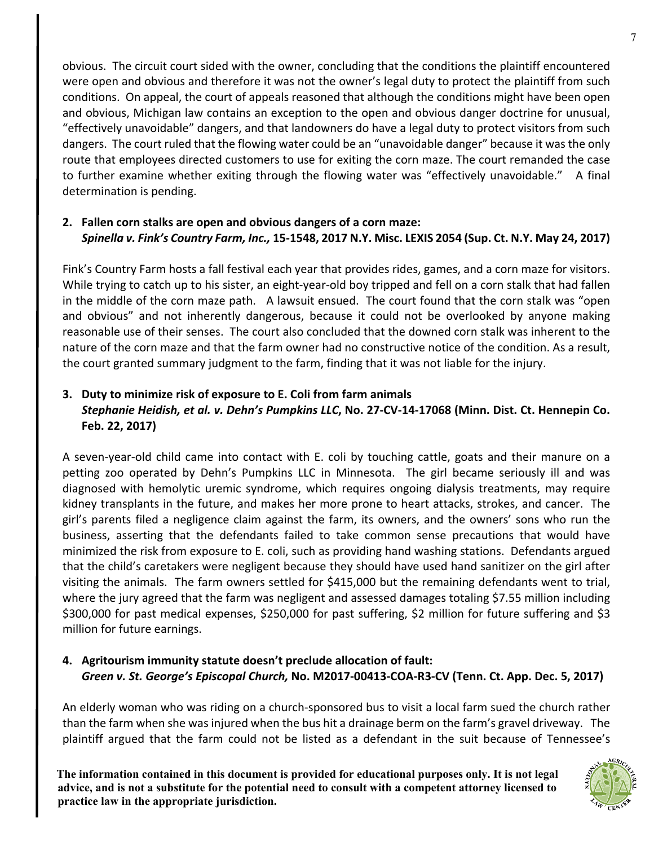obvious. The circuit court sided with the owner, concluding that the conditions the plaintiff encountered were open and obvious and therefore it was not the owner's legal duty to protect the plaintiff from such conditions. On appeal, the court of appeals reasoned that although the conditions might have been open and obvious, Michigan law contains an exception to the open and obvious danger doctrine for unusual, "effectively unavoidable" dangers, and that landowners do have a legal duty to protect visitors from such dangers. The court ruled that the flowing water could be an "unavoidable danger" because it was the only route that employees directed customers to use for exiting the corn maze. The court remanded the case to further examine whether exiting through the flowing water was "effectively unavoidable." A final determination is pending.

#### **2. Fallen corn stalks are open and obvious dangers of a corn maze:**  *Spinella v. Fink's Country Farm, Inc.,* **15-1548, 2017 N.Y. Misc. LEXIS 2054 (Sup. Ct. N.Y. May 24, 2017)**

Fink's Country Farm hosts a fall festival each year that provides rides, games, and a corn maze for visitors. While trying to catch up to his sister, an eight-year-old boy tripped and fell on a corn stalk that had fallen in the middle of the corn maze path. A lawsuit ensued. The court found that the corn stalk was "open and obvious" and not inherently dangerous, because it could not be overlooked by anyone making reasonable use of their senses. The court also concluded that the downed corn stalk was inherent to the nature of the corn maze and that the farm owner had no constructive notice of the condition. As a result, the court granted summary judgment to the farm, finding that it was not liable for the injury.

#### **3. Duty to minimize risk of exposure to E. Coli from farm animals** *Stephanie Heidish, et al. v. Dehn's Pumpkins LLC***, No. 27-CV-14-17068 (Minn. Dist. Ct. Hennepin Co. Feb. 22, 2017)**

A seven-year-old child came into contact with E. coli by touching cattle, goats and their manure on a petting zoo operated by Dehn's Pumpkins LLC in Minnesota. The girl became seriously ill and was diagnosed with hemolytic uremic syndrome, which requires ongoing dialysis treatments, may require kidney transplants in the future, and makes her more prone to heart attacks, strokes, and cancer. The girl's parents filed a negligence claim against the farm, its owners, and the owners' sons who run the business, asserting that the defendants failed to take common sense precautions that would have minimized the risk from exposure to E. coli, such as providing hand washing stations. Defendants argued that the child's caretakers were negligent because they should have used hand sanitizer on the girl after visiting the animals. The farm owners settled for \$415,000 but the remaining defendants went to trial, where the jury agreed that the farm was negligent and assessed damages totaling \$7.55 million including \$300,000 for past medical expenses, \$250,000 for past suffering, \$2 million for future suffering and \$3 million for future earnings.

#### **4. Agritourism immunity statute doesn't preclude allocation of fault:**  *Green v. St. George's Episcopal Church,* **No. M2017-00413-COA-R3-CV (Tenn. Ct. App. Dec. 5, 2017)**

An elderly woman who was riding on a church-sponsored bus to visit a local farm sued the church rather than the farm when she was injured when the bus hit a drainage berm on the farm's gravel driveway. The plaintiff argued that the farm could not be listed as a defendant in the suit because of Tennessee's

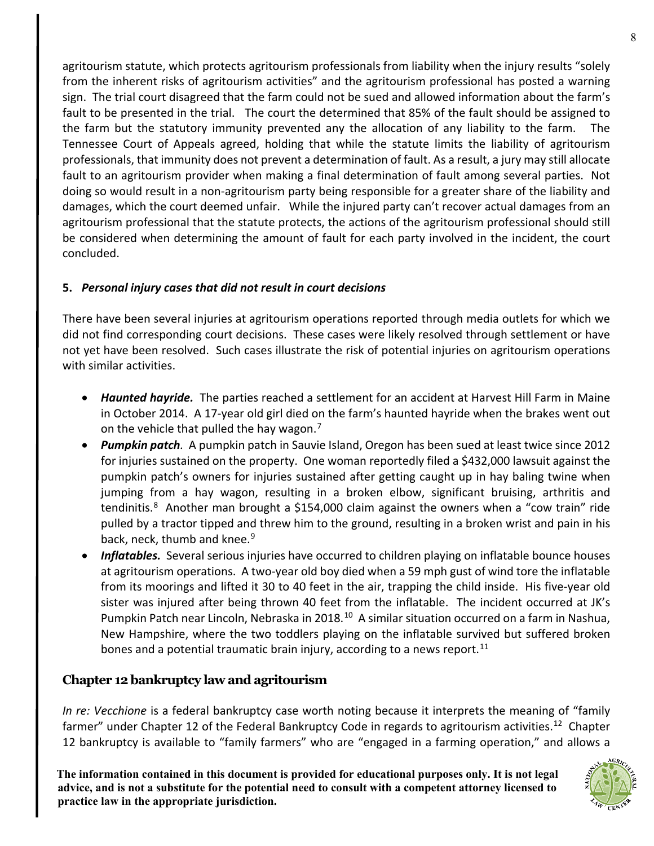agritourism statute, which protects agritourism professionals from liability when the injury results "solely from the inherent risks of agritourism activities" and the agritourism professional has posted a warning sign. The trial court disagreed that the farm could not be sued and allowed information about the farm's fault to be presented in the trial. The court the determined that 85% of the fault should be assigned to the farm but the statutory immunity prevented any the allocation of any liability to the farm. The Tennessee Court of Appeals agreed, holding that while the statute limits the liability of agritourism professionals, that immunity does not prevent a determination of fault. As a result, a jury may still allocate fault to an agritourism provider when making a final determination of fault among several parties. Not doing so would result in a non-agritourism party being responsible for a greater share of the liability and damages, which the court deemed unfair. While the injured party can't recover actual damages from an agritourism professional that the statute protects, the actions of the agritourism professional should still be considered when determining the amount of fault for each party involved in the incident, the court concluded.

#### **5.** *Personal injury cases that did not result in court decisions*

There have been several injuries at agritourism operations reported through media outlets for which we did not find corresponding court decisions. These cases were likely resolved through settlement or have not yet have been resolved. Such cases illustrate the risk of potential injuries on agritourism operations with similar activities.

- *Haunted hayride.* The parties reached a settlement for an accident at Harvest Hill Farm in Maine in October 2014. A 17-year old girl died on the farm's haunted hayride when the brakes went out on the vehicle that pulled the hay wagon.<sup>[7](#page-8-6)</sup>
- *Pumpkin patch.* A pumpkin patch in Sauvie Island, Oregon has been sued at least twice since 2012 for injuries sustained on the property. One woman reportedly filed a \$432,000 lawsuit against the pumpkin patch's owners for injuries sustained after getting caught up in hay baling twine when jumping from a hay wagon, resulting in a broken elbow, significant bruising, arthritis and tendinitis.<sup>[8](#page-8-7)</sup> Another man brought a \$154,000 claim against the owners when a "cow train" ride pulled by a tractor tipped and threw him to the ground, resulting in a broken wrist and pain in his back, neck, thumb and knee.<sup>[9](#page-8-8)</sup>
- *Inflatables.* Several serious injuries have occurred to children playing on inflatable bounce houses at agritourism operations. A two-year old boy died when a 59 mph gust of wind tore the inflatable from its moorings and lifted it 30 to 40 feet in the air, trapping the child inside. His five-year old sister was injured after being thrown 40 feet from the inflatable. The incident occurred at JK's Pumpkin Patch near Lincoln, Nebraska in 2018.<sup>[10](#page-9-0)</sup> A similar situation occurred on a farm in Nashua, New Hampshire, where the two toddlers playing on the inflatable survived but suffered broken bones and a potential traumatic brain injury, according to a news report.<sup>[11](#page-9-1)</sup>

#### **Chapter 12 bankruptcy law and agritourism**

*In re: Vecchione* is a federal bankruptcy case worth noting because it interprets the meaning of "family" farmer" under Chapter [12](#page-9-2) of the Federal Bankruptcy Code in regards to agritourism activities.<sup>12</sup> Chapter 12 bankruptcy is available to "family farmers" who are "engaged in a farming operation," and allows a

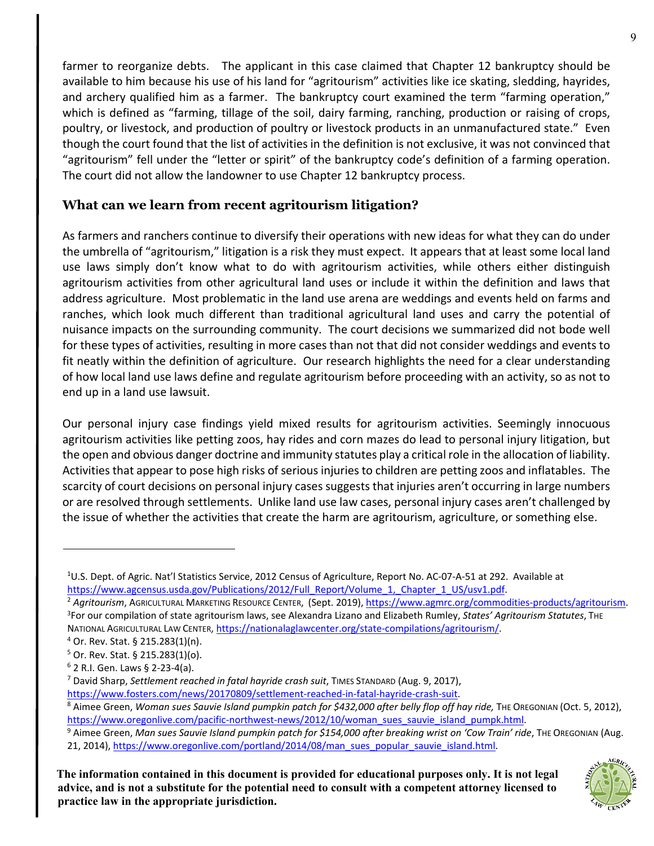farmer to reorganize debts. The applicant in this case claimed that Chapter 12 bankruptcy should be available to him because his use of his land for "agritourism" activities like ice skating, sledding, hayrides, and archery qualified him as a farmer. The bankruptcy court examined the term "farming operation," which is defined as "farming, tillage of the soil, dairy farming, ranching, production or raising of crops, poultry, or livestock, and production of poultry or livestock products in an unmanufactured state." Even though the court found that the list of activities in the definition is not exclusive, it was not convinced that "agritourism" fell under the "letter or spirit" of the bankruptcy code's definition of a farming operation. The court did not allow the landowner to use Chapter 12 bankruptcy process.

# **What can we learn from recent agritourism litigation?**

As farmers and ranchers continue to diversify their operations with new ideas for what they can do under the umbrella of "agritourism," litigation is a risk they must expect. It appears that at least some local land use laws simply don't know what to do with agritourism activities, while others either distinguish agritourism activities from other agricultural land uses or include it within the definition and laws that address agriculture. Most problematic in the land use arena are weddings and events held on farms and ranches, which look much different than traditional agricultural land uses and carry the potential of nuisance impacts on the surrounding community. The court decisions we summarized did not bode well for these types of activities, resulting in more cases than not that did not consider weddings and events to fit neatly within the definition of agriculture. Our research highlights the need for a clear understanding of how local land use laws define and regulate agritourism before proceeding with an activity, so as not to end up in a land use lawsuit.

Our personal injury case findings yield mixed results for agritourism activities. Seemingly innocuous agritourism activities like petting zoos, hay rides and corn mazes do lead to personal injury litigation, but the open and obvious danger doctrine and immunity statutes play a critical role in the allocation of liability. Activities that appear to pose high risks of serious injuries to children are petting zoos and inflatables. The scarcity of court decisions on personal injury cases suggests that injuries aren't occurring in large numbers or are resolved through settlements. Unlike land use law cases, personal injury cases aren't challenged by the issue of whether the activities that create the harm are agritourism, agriculture, or something else.

<span id="page-8-2"></span><span id="page-8-1"></span><sup>2</sup> Agritourism, AGRICULTURAL MARKETING RESOURCE CENTER, (Sept. 2019)[, https://www.agmrc.org/commodities-products/agritourism.](https://www.agmrc.org/commodities-products/agritourism) For our compilation of state agritourism laws, see Alexandra Lizano and Elizabeth Rumley, *States' Agritourism Statutes*, THE NATIONAL AGRICULTURAL LAW CENTER, https://nationalaglawcenter.org/state-compilations/agritourism/.<br><sup>4</sup> Or. Rev. Stat. § 215.283(1)(n).

<span id="page-8-8"></span>**The information contained in this document is provided for educational purposes only. It is not legal advice, and is not a substitute for the potential need to consult with a competent attorney licensed to practice law in the appropriate jurisdiction.**



<span id="page-8-0"></span><sup>&</sup>lt;sup>1</sup>U.S. Dept. of Agric. Nat'l Statistics Service, 2012 Census of Agriculture, Report No. AC-07-A-51 at 292. Available at [https://www.agcensus.usda.gov/Publications/2012/Full\\_Report/Volume\\_1,\\_Chapter\\_1\\_US/usv1.pdf.](https://www.agcensus.usda.gov/Publications/2012/Full_Report/Volume_1,_Chapter_1_US/usv1.pdf)

<span id="page-8-3"></span>

<span id="page-8-4"></span> $5$  Or. Rev. Stat. § 215.283(1)(o).

<span id="page-8-5"></span> $6$  2 R.I. Gen. Laws § 2-23-4(a).

<span id="page-8-6"></span><sup>7</sup> David Sharp, *Settlement reached in fatal hayride crash suit*, TIMES STANDARD (Aug. 9, 2017),

<span id="page-8-7"></span>[https://www.fosters.com/news/20170809/settlement-reached-in-fatal-hayride-crash-suit.](https://www.fosters.com/news/20170809/settlement-reached-in-fatal-hayride-crash-suit)<br><sup>8</sup> Aimee Green, *Woman sues Sauvie Island pumpkin patch for \$432,000 after belly flop off hay ride, THE OREGONIAN (Oct. 5, 2012),* https://www.oregonlive.com/pacific-northwest-news/2012/10/woman sues sauvie island pumpk.html.<br><sup>9</sup> Aimee Green, Man sues Sauvie Island pumpkin patch for \$154,000 after breaking wrist on 'Cow Train' ride, THE OREGONIAN (Aug

<sup>21, 2014),</sup> [https://www.oregonlive.com/portland/2014/08/man\\_sues\\_popular\\_sauvie\\_island.html.](https://www.oregonlive.com/portland/2014/08/man_sues_popular_sauvie_island.html)